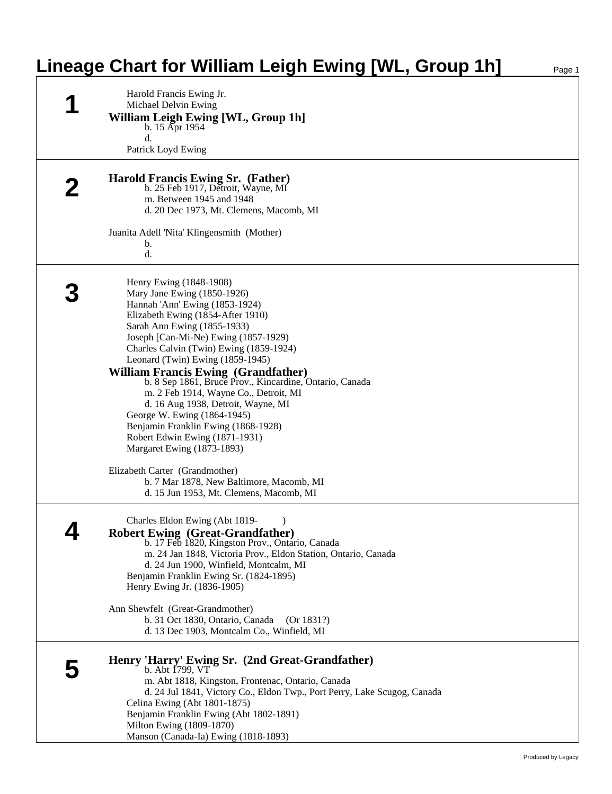## **Lineage Chart for William Leigh Ewing [WL, Group 1h]**

|   | Harold Francis Ewing Jr.<br>Michael Delvin Ewing<br>William Leigh Ewing [WL, Group 1h]<br>b. $15$ Apr $1954$<br>$\rm d$ .<br>Patrick Loyd Ewing                                                                                                                                                                                                                                                                                                                                                                                                                                                                                                                                                 |
|---|-------------------------------------------------------------------------------------------------------------------------------------------------------------------------------------------------------------------------------------------------------------------------------------------------------------------------------------------------------------------------------------------------------------------------------------------------------------------------------------------------------------------------------------------------------------------------------------------------------------------------------------------------------------------------------------------------|
|   | <b>Harold Francis Ewing Sr. (Father)</b><br>b. 25 Feb 1917, Detroit, Wayne, MI<br>m. Between 1945 and 1948<br>d. 20 Dec 1973, Mt. Clemens, Macomb, MI                                                                                                                                                                                                                                                                                                                                                                                                                                                                                                                                           |
|   | Juanita Adell 'Nita' Klingensmith (Mother)<br>b.<br>d.                                                                                                                                                                                                                                                                                                                                                                                                                                                                                                                                                                                                                                          |
|   | Henry Ewing (1848-1908)<br>Mary Jane Ewing (1850-1926)<br>Hannah 'Ann' Ewing (1853-1924)<br>Elizabeth Ewing (1854-After 1910)<br>Sarah Ann Ewing (1855-1933)<br>Joseph [Can-Mi-Ne) Ewing (1857-1929)<br>Charles Calvin (Twin) Ewing (1859-1924)<br>Leonard (Twin) Ewing (1859-1945)<br><b>William Francis Ewing (Grandfather)</b><br>b. 8 Sep 1861, Bruce Prov., Kincardine, Ontario, Canada<br>m. 2 Feb 1914, Wayne Co., Detroit, MI<br>d. 16 Aug 1938, Detroit, Wayne, MI<br>George W. Ewing (1864-1945)<br>Benjamin Franklin Ewing (1868-1928)<br>Robert Edwin Ewing (1871-1931)<br>Margaret Ewing (1873-1893)<br>Elizabeth Carter (Grandmother)<br>b. 7 Mar 1878, New Baltimore, Macomb, MI |
| 4 | d. 15 Jun 1953, Mt. Clemens, Macomb, MI<br>Charles Eldon Ewing (Abt 1819-<br><b>Robert Ewing (Great-Grandfather)</b><br>b. 17 Feb 1820, Kingston Prov., Ontario, Canada<br>m. 24 Jan 1848, Victoria Prov., Eldon Station, Ontario, Canada<br>d. 24 Jun 1900, Winfield, Montcalm, MI<br>Benjamin Franklin Ewing Sr. (1824-1895)<br>Henry Ewing Jr. (1836-1905)                                                                                                                                                                                                                                                                                                                                   |
|   | Ann Shewfelt (Great-Grandmother)<br>b. 31 Oct 1830, Ontario, Canada<br>(Or 1831?)<br>d. 13 Dec 1903, Montcalm Co., Winfield, MI                                                                                                                                                                                                                                                                                                                                                                                                                                                                                                                                                                 |
| b | Henry 'Harry' Ewing Sr. (2nd Great-Grandfather)<br>b. Abt 1799, VT<br>m. Abt 1818, Kingston, Frontenac, Ontario, Canada<br>d. 24 Jul 1841, Victory Co., Eldon Twp., Port Perry, Lake Scugog, Canada<br>Celina Ewing (Abt 1801-1875)<br>Benjamin Franklin Ewing (Abt 1802-1891)<br>Milton Ewing (1809-1870)<br>Manson (Canada-Ia) Ewing (1818-1893)                                                                                                                                                                                                                                                                                                                                              |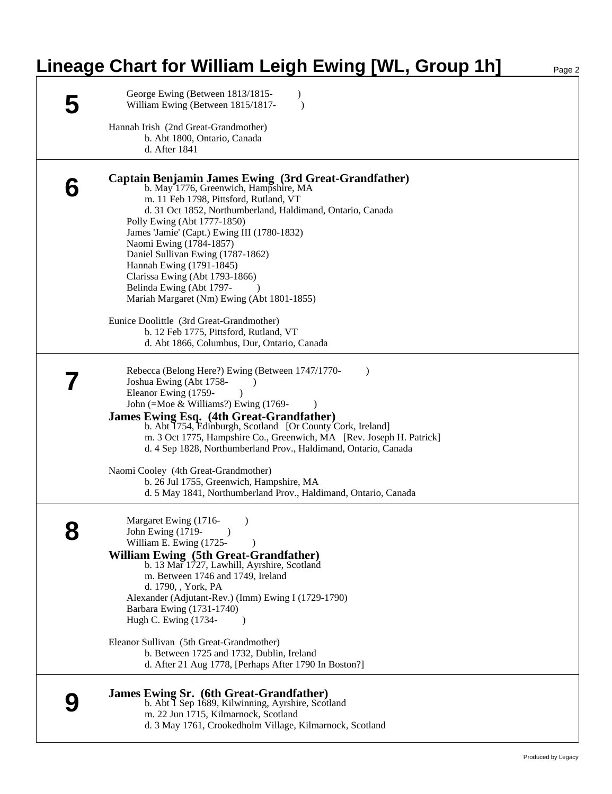## **Lineage Chart for William Leigh Ewing [WL, Group 1h]** Page 2

| George Ewing (Between 1813/1815-<br>William Ewing (Between 1815/1817-                                                                                                                                                                                                                                                                                                                                                                                                                                                                                                                                                            | $\lambda$<br>$\lambda$                                                                                                                               |
|----------------------------------------------------------------------------------------------------------------------------------------------------------------------------------------------------------------------------------------------------------------------------------------------------------------------------------------------------------------------------------------------------------------------------------------------------------------------------------------------------------------------------------------------------------------------------------------------------------------------------------|------------------------------------------------------------------------------------------------------------------------------------------------------|
| Hannah Irish (2nd Great-Grandmother)<br>b. Abt 1800, Ontario, Canada<br>d. After 1841                                                                                                                                                                                                                                                                                                                                                                                                                                                                                                                                            |                                                                                                                                                      |
| Captain Benjamin James Ewing (3rd Great-Grandfather)<br>b. May 1776, Greenwich, Hampshire, MA<br>m. 11 Feb 1798, Pittsford, Rutland, VT<br>d. 31 Oct 1852, Northumberland, Haldimand, Ontario, Canada<br>Polly Ewing (Abt 1777-1850)<br>James 'Jamie' (Capt.) Ewing III (1780-1832)<br>Naomi Ewing (1784-1857)<br>Daniel Sullivan Ewing (1787-1862)<br>Hannah Ewing (1791-1845)<br>Clarissa Ewing (Abt 1793-1866)<br>Belinda Ewing (Abt 1797-<br>Mariah Margaret (Nm) Ewing (Abt 1801-1855)<br>Eunice Doolittle (3rd Great-Grandmother)<br>b. 12 Feb 1775, Pittsford, Rutland, VT<br>d. Abt 1866, Columbus, Dur, Ontario, Canada |                                                                                                                                                      |
| Rebecca (Belong Here?) Ewing (Between 1747/1770-<br>Joshua Ewing (Abt 1758-<br>Eleanor Ewing (1759-<br>John (=Moe & Williams?) Ewing $(1769 -$<br><b>James Ewing Esq. (4th Great-Grandfather)</b><br>b. Abt 1754, Edinburgh, Scotland [Or County Cork, Ireland]<br>d. 4 Sep 1828, Northumberland Prov., Haldimand, Ontario, Canada<br>Naomi Cooley (4th Great-Grandmother)<br>b. 26 Jul 1755, Greenwich, Hampshire, MA                                                                                                                                                                                                           | $\lambda$<br>m. 3 Oct 1775, Hampshire Co., Greenwich, MA [Rev. Joseph H. Patrick]<br>d. 5 May 1841, Northumberland Prov., Haldimand, Ontario, Canada |
| Margaret Ewing (1716-<br>$\bullet$<br>John Ewing (1719-<br>Q<br>William E. Ewing (1725-<br><b>William Ewing (5th Great-Grandfather)</b><br>b. 13 Mar 1727, Lawhill, Ayrshire, Scotland<br>m. Between 1746 and 1749, Ireland<br>d. 1790, , York, PA<br>Alexander (Adjutant-Rev.) (Imm) Ewing I (1729-1790)<br>Barbara Ewing (1731-1740)<br>Hugh C. Ewing (1734-<br>Eleanor Sullivan (5th Great-Grandmother)<br>b. Between 1725 and 1732, Dublin, Ireland<br>d. After 21 Aug 1778, [Perhaps After 1790 In Boston?]                                                                                                                 |                                                                                                                                                      |
| <b>James Ewing Sr. (6th Great-Grandfather)</b><br>b. Abt I Sep 1689, Kilwinning, Ayrshire, Scotland<br>m. 22 Jun 1715, Kilmarnock, Scotland<br>d. 3 May 1761, Crookedholm Village, Kilmarnock, Scotland                                                                                                                                                                                                                                                                                                                                                                                                                          |                                                                                                                                                      |